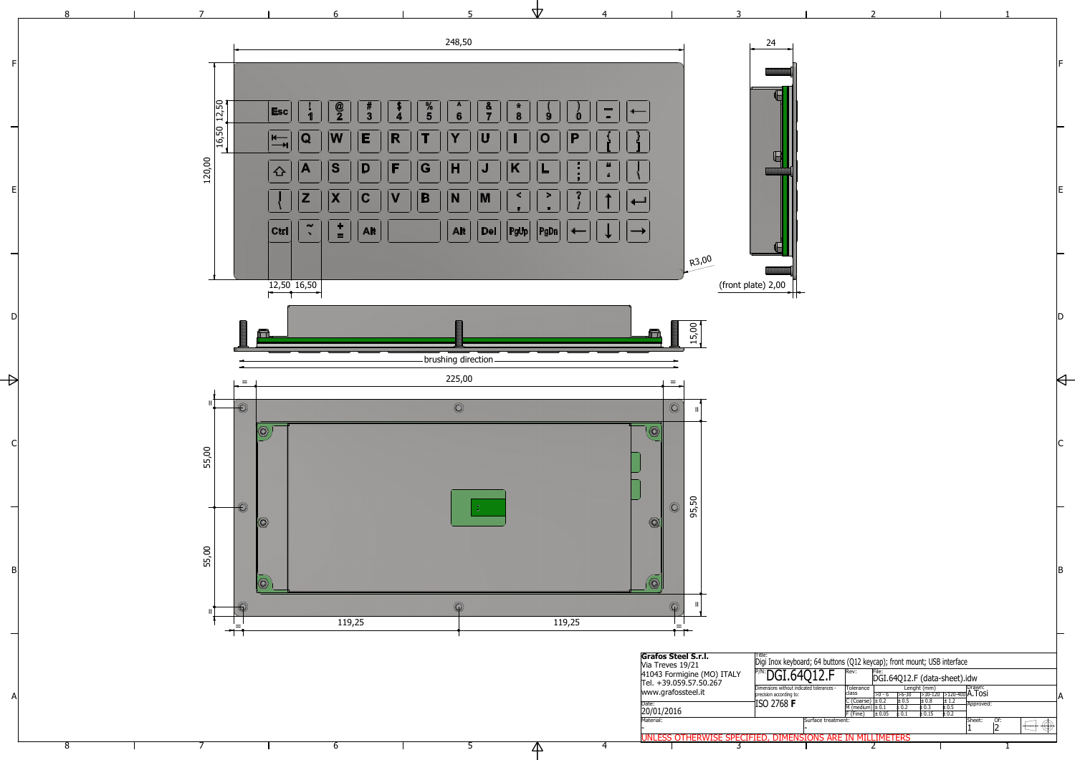2